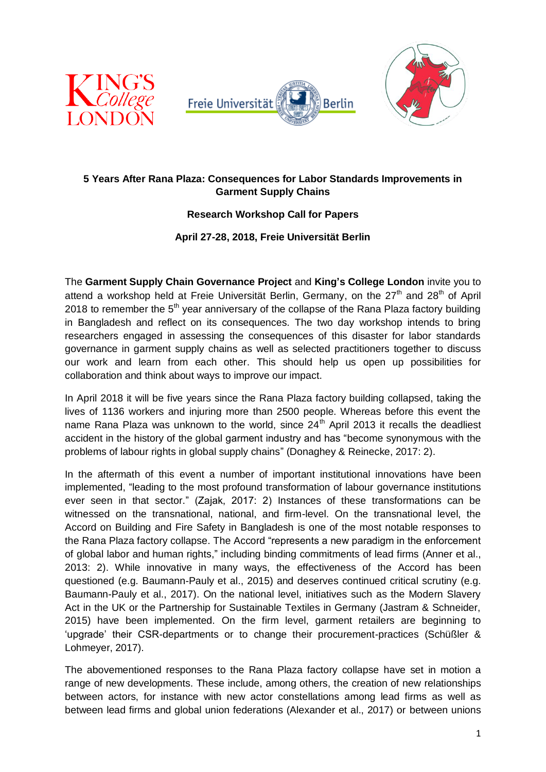





# **5 Years After Rana Plaza: Consequences for Labor Standards Improvements in Garment Supply Chains**

## **Research Workshop Call for Papers**

#### **April 27-28, 2018, Freie Universität Berlin**

The **Garment Supply Chain Governance Project** and **King's College London** invite you to attend a workshop held at Freie Universität Berlin, Germany, on the  $27<sup>th</sup>$  and  $28<sup>th</sup>$  of April 2018 to remember the  $5<sup>th</sup>$  year anniversary of the collapse of the Rana Plaza factory building in Bangladesh and reflect on its consequences. The two day workshop intends to bring researchers engaged in assessing the consequences of this disaster for labor standards governance in garment supply chains as well as selected practitioners together to discuss our work and learn from each other. This should help us open up possibilities for collaboration and think about ways to improve our impact.

In April 2018 it will be five years since the Rana Plaza factory building collapsed, taking the lives of 1136 workers and injuring more than 2500 people. Whereas before this event the name Rana Plaza was unknown to the world, since  $24<sup>th</sup>$  April 2013 it recalls the deadliest accident in the history of the global garment industry and has "become synonymous with the problems of labour rights in global supply chains" (Donaghey & Reinecke, 2017: 2).

In the aftermath of this event a number of important institutional innovations have been implemented, "leading to the most profound transformation of labour governance institutions ever seen in that sector." (Zajak, 2017: 2) Instances of these transformations can be witnessed on the transnational, national, and firm-level. On the transnational level, the Accord on Building and Fire Safety in Bangladesh is one of the most notable responses to the Rana Plaza factory collapse. The Accord "represents a new paradigm in the enforcement of global labor and human rights," including binding commitments of lead firms (Anner et al., 2013: 2). While innovative in many ways, the effectiveness of the Accord has been questioned (e.g. Baumann-Pauly et al., 2015) and deserves continued critical scrutiny (e.g. Baumann-Pauly et al., 2017). On the national level, initiatives such as the Modern Slavery Act in the UK or the Partnership for Sustainable Textiles in Germany (Jastram & Schneider, 2015) have been implemented. On the firm level, garment retailers are beginning to 'upgrade' their CSR-departments or to change their procurement-practices (Schüßler & Lohmeyer, 2017).

The abovementioned responses to the Rana Plaza factory collapse have set in motion a range of new developments. These include, among others, the creation of new relationships between actors, for instance with new actor constellations among lead firms as well as between lead firms and global union federations (Alexander et al., 2017) or between unions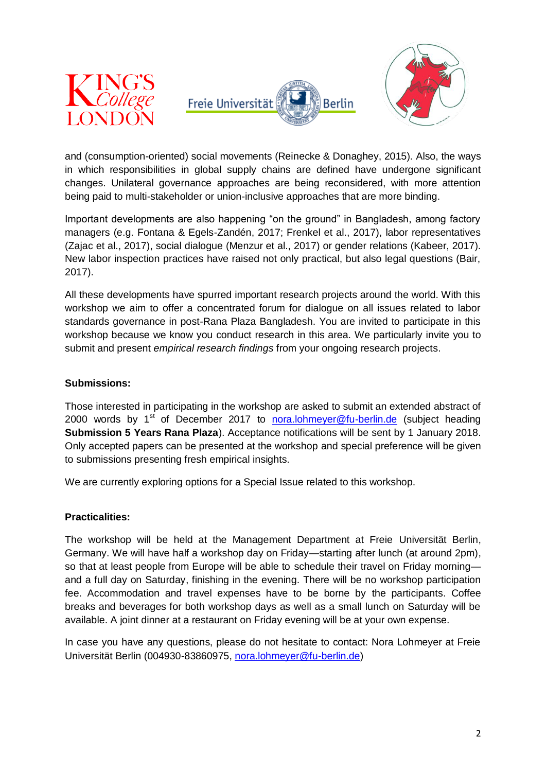





and (consumption-oriented) social movements (Reinecke & Donaghey, 2015). Also, the ways in which responsibilities in global supply chains are defined have undergone significant changes. Unilateral governance approaches are being reconsidered, with more attention being paid to multi-stakeholder or union-inclusive approaches that are more binding.

Important developments are also happening "on the ground" in Bangladesh, among factory managers (e.g. Fontana & Egels-Zandén, 2017; Frenkel et al., 2017), labor representatives (Zajac et al., 2017), social dialogue (Menzur et al., 2017) or gender relations (Kabeer, 2017). New labor inspection practices have raised not only practical, but also legal questions (Bair, 2017).

All these developments have spurred important research projects around the world. With this workshop we aim to offer a concentrated forum for dialogue on all issues related to labor standards governance in post-Rana Plaza Bangladesh. You are invited to participate in this workshop because we know you conduct research in this area. We particularly invite you to submit and present *empirical research findings* from your ongoing research projects.

#### **Submissions:**

Those interested in participating in the workshop are asked to submit an extended abstract of 2000 words by  $1<sup>st</sup>$  of December 2017 to [nora.lohmeyer@fu-berlin.de](mailto:nora.lohmeyer@fu-berlin.de) (subject heading **Submission 5 Years Rana Plaza**). Acceptance notifications will be sent by 1 January 2018. Only accepted papers can be presented at the workshop and special preference will be given to submissions presenting fresh empirical insights.

We are currently exploring options for a Special Issue related to this workshop.

#### **Practicalities:**

The workshop will be held at the Management Department at Freie Universität Berlin, Germany. We will have half a workshop day on Friday—starting after lunch (at around 2pm), so that at least people from Europe will be able to schedule their travel on Friday morningand a full day on Saturday, finishing in the evening. There will be no workshop participation fee. Accommodation and travel expenses have to be borne by the participants. Coffee breaks and beverages for both workshop days as well as a small lunch on Saturday will be available. A joint dinner at a restaurant on Friday evening will be at your own expense.

In case you have any questions, please do not hesitate to contact: Nora Lohmeyer at Freie Universität Berlin (004930-83860975, [nora.lohmeyer@fu-berlin.de\)](mailto:nora.lohmeyer@fu-berlin.de)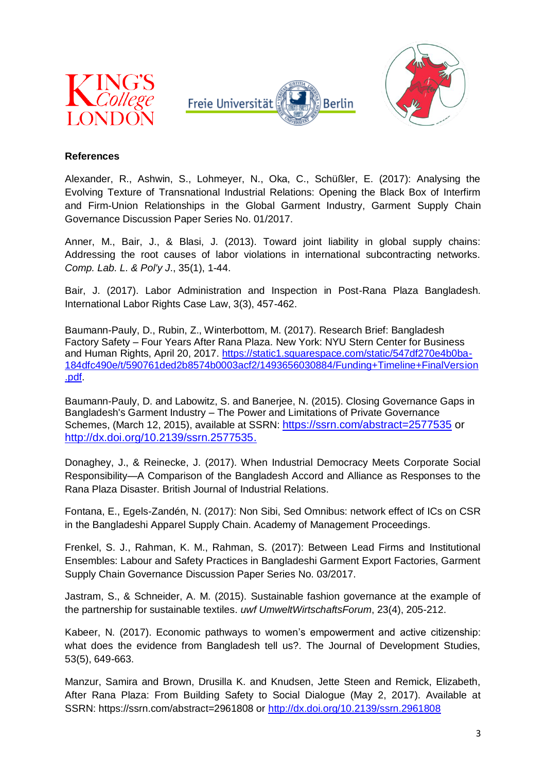





### **References**

Alexander, R., Ashwin, S., Lohmeyer, N., Oka, C., Schüßler, E. (2017): Analysing the Evolving Texture of Transnational Industrial Relations: Opening the Black Box of Interfirm and Firm-Union Relationships in the Global Garment Industry, Garment Supply Chain Governance Discussion Paper Series No. 01/2017.

Anner, M., Bair, J., & Blasi, J. (2013). Toward joint liability in global supply chains: Addressing the root causes of labor violations in international subcontracting networks. *Comp. Lab. L. & Pol'y J*., 35(1), 1-44.

Bair, J. (2017). Labor Administration and Inspection in Post-Rana Plaza Bangladesh. International Labor Rights Case Law, 3(3), 457-462.

Baumann-Pauly, D., Rubin, Z., Winterbottom, M. (2017). Research Brief: Bangladesh Factory Safety – Four Years After Rana Plaza. New York: NYU Stern Center for Business and Human Rights, April 20, 2017. [https://static1.squarespace.com/static/547df270e4b0ba-](https://static1.squarespace.com/static/547df270e4b0ba184dfc490e/t/590761ded2b8574b0003acf2/1493656030884/Funding+Timeline+FinalVersion.pdf)[184dfc490e/t/590761ded2b8574b0003acf2/1493656030884/Funding+Timeline+FinalVersion](https://static1.squarespace.com/static/547df270e4b0ba184dfc490e/t/590761ded2b8574b0003acf2/1493656030884/Funding+Timeline+FinalVersion.pdf) [.pdf.](https://static1.squarespace.com/static/547df270e4b0ba184dfc490e/t/590761ded2b8574b0003acf2/1493656030884/Funding+Timeline+FinalVersion.pdf)

Baumann-Pauly, D. and Labowitz, S. and Banerjee, N. (2015). Closing Governance Gaps in Bangladesh's Garment Industry – The Power and Limitations of Private Governance Schemes, (March 12, 2015), available at SSRN: <https://ssrn.com/abstract=2577535> or <http://dx.doi.org/10.2139/ssrn.2577535.>

Donaghey, J., & Reinecke, J. (2017). When Industrial Democracy Meets Corporate Social Responsibility—A Comparison of the Bangladesh Accord and Alliance as Responses to the Rana Plaza Disaster. British Journal of Industrial Relations.

Fontana, E., Egels-Zandén, N. (2017): Non Sibi, Sed Omnibus: network effect of ICs on CSR in the Bangladeshi Apparel Supply Chain. Academy of Management Proceedings.

Frenkel, S. J., Rahman, K. M., Rahman, S. (2017): Between Lead Firms and Institutional Ensembles: Labour and Safety Practices in Bangladeshi Garment Export Factories, Garment Supply Chain Governance Discussion Paper Series No. 03/2017.

Jastram, S., & Schneider, A. M. (2015). Sustainable fashion governance at the example of the partnership for sustainable textiles. *uwf UmweltWirtschaftsForum*, 23(4), 205-212.

Kabeer, N. (2017). Economic pathways to women's empowerment and active citizenship: what does the evidence from Bangladesh tell us?. The Journal of Development Studies, 53(5), 649-663.

Manzur, Samira and Brown, Drusilla K. and Knudsen, Jette Steen and Remick, Elizabeth, After Rana Plaza: From Building Safety to Social Dialogue (May 2, 2017). Available at SSRN: https://ssrn.com/abstract=2961808 or<http://dx.doi.org/10.2139/ssrn.2961808>